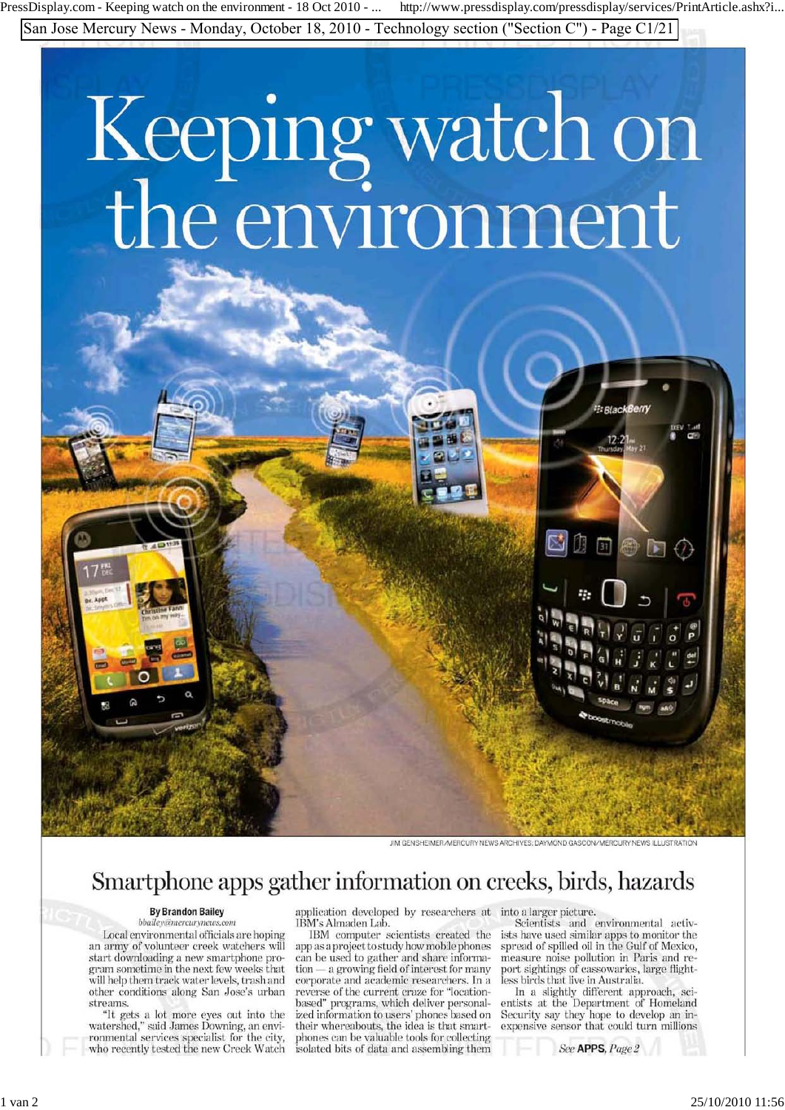PressDisplay.com - Keeping watch on the environment - 18 Oct 2010 - ... http://www.pressdisplay.com/pressdisplay/services/PrintArticle.ashx?i...

San Jose Mercury News - Monday, October 18, 2010 - Technology section ("Section C") - Page C1/21

# Keeping watch on<br>the environment

JIM GENSHEIMER/MERCURY NEWS ARCHIVES: DAYMOND GASCON/MERCURY NEWS ILLUSTRATION

## Smartphone apps gather information on creeks, birds, hazards

### **By Brandon Bailey**

bbailey@mercurynews.com Local environmental officials are hoping an army of volunteer creek watchers will start downloading a new smartphone program sometime in the next few weeks that will help them track water levels, trash and other conditions along San Jose's urban streams.

"It gets a lot more eyes out into the<br>watershed," said James Downing, an envi-<br>ronmental services specialist for the city,<br>who recently tested the new Creek Watch

application developed by researchers at into a larger picture. IBM's Almaden Lab.

IBM computer scientists created the app as a project to study how mobile phones can be used to gather and share information — a growing field of interest for many corporate and academic researchers. In a reverse of the current craze for "locationbased" programs, which deliver personalized information to users' phones based on their whereabouts, the idea is that smartphones can be valuable tools for collecting isolated bits of data and assembling them

因力

可图下

Scientists and environmental activists have used similar apps to monitor the spread of spilled oil in the Gulf of Mexico, measure noise pollution in Paris and report sightings of cassowaries, large flightless birds that live in Australia.

In a slightly different approach, scithe Department of Homeland<br>Security say they hope to develop an in-<br>expensive sensor that could turn millions

See APPS, Page 2